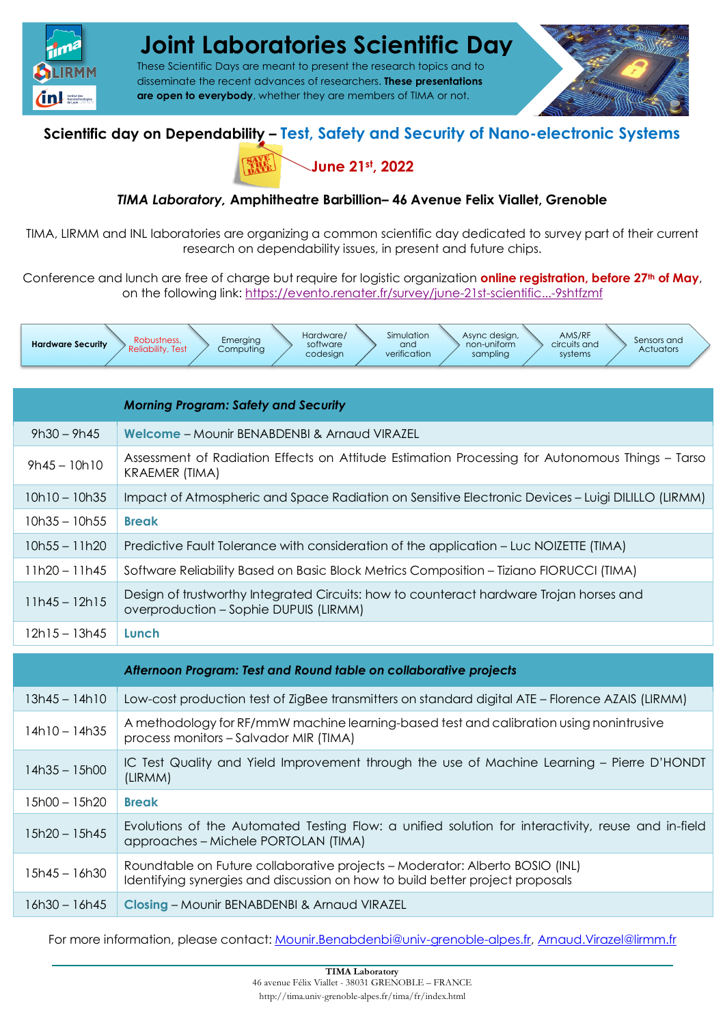

# **Joint Laboratories Scientific Day**

These Scientific Days are meant to present the research topics and to disseminate the recent advances of researchers. **These presentations are open to everybody**, whether they are members of TIMA or not.

### **Scientific day on Dependability – Test, Safety and Security of Nano-electronic Systems**



#### *TIMA Laboratory,* **Amphitheatre Barbillion– 46 Avenue Felix Viallet, Grenoble**

TIMA, LIRMM and INL laboratories are organizing a common scientific day dedicated to survey part of their current research on dependability issues, in present and future chips.

Conference and lunch are free of charge but require for logistic organization **online registration, before 27<sup>th</sup> of May**, on the following link: https://evento.renater.fr/survey/june-21st-scientific...-9shtfzmf



|                 | <b>Morning Program: Safety and Security</b>                                                                                                |
|-----------------|--------------------------------------------------------------------------------------------------------------------------------------------|
| $9h30 - 9h45$   | Welcome - Mounir BENABDENBI & Arnaud VIRAZEL                                                                                               |
| $9h45 - 10h10$  | Assessment of Radiation Effects on Attitude Estimation Processing for Autonomous Things – Tarso<br><b>KRAEMER (TIMA)</b>                   |
| $10h10 - 10h35$ | Impact of Atmospheric and Space Radiation on Sensitive Electronic Devices - Luigi DILILLO (LIRMM)                                          |
| $10h35 - 10h55$ | <b>Break</b>                                                                                                                               |
| $10h55 - 11h20$ | Predictive Fault Tolerance with consideration of the application – Luc NOIZETTE (TIMA)                                                     |
| $11h20 - 11h45$ | Software Reliability Based on Basic Block Metrics Composition - Tiziano FIORUCCI (TIMA)                                                    |
| $11h45 - 12h15$ | Design of trustworthy Integrated Circuits: how to counteract hardware Trojan horses and<br>overproduction – Sophie DUPUIS (LIRMM)          |
| $12h15 - 13h45$ | Lunch                                                                                                                                      |
|                 | Afternoon Program: Test and Round table on collaborative projects                                                                          |
| $13h45 - 14h10$ | Low-cost production test of ZigBee transmitters on standard digital ATE - Florence AZAIS (LIRMM)                                           |
| $14h10 - 14h35$ | A methodology for RF/mmW machine learning-based test and calibration using nonintrusive<br>process monitors - Salvador MIR (TIMA)          |
| $14h35 - 15h00$ | IC Test Quality and Yield Improvement through the use of Machine Learning – Pierre D'HONDT<br>(LIRMM)                                      |
| $15h00 - 15h20$ | <b>Break</b>                                                                                                                               |
| $15h20 - 15h45$ | Evolutions of the Automated Testing Flow: a unified solution for interactivity, reuse and in-field<br>approaches – Michele PORTOLAN (TIMA) |

15h45 – 16h30 Roundtable on Future collaborative projects – Moderator: Alberto BOSIO (INL) Identifying synergies and discussion on how to build better project proposals

16h30 – 16h45 **Closing** – Mounir BENABDENBI & Arnaud VIRAZEL

For more information, please contact: Mounir.Benabdenbi@univ-grenoble-alpes.fr, Arnaud.Virazel@lirmm.fr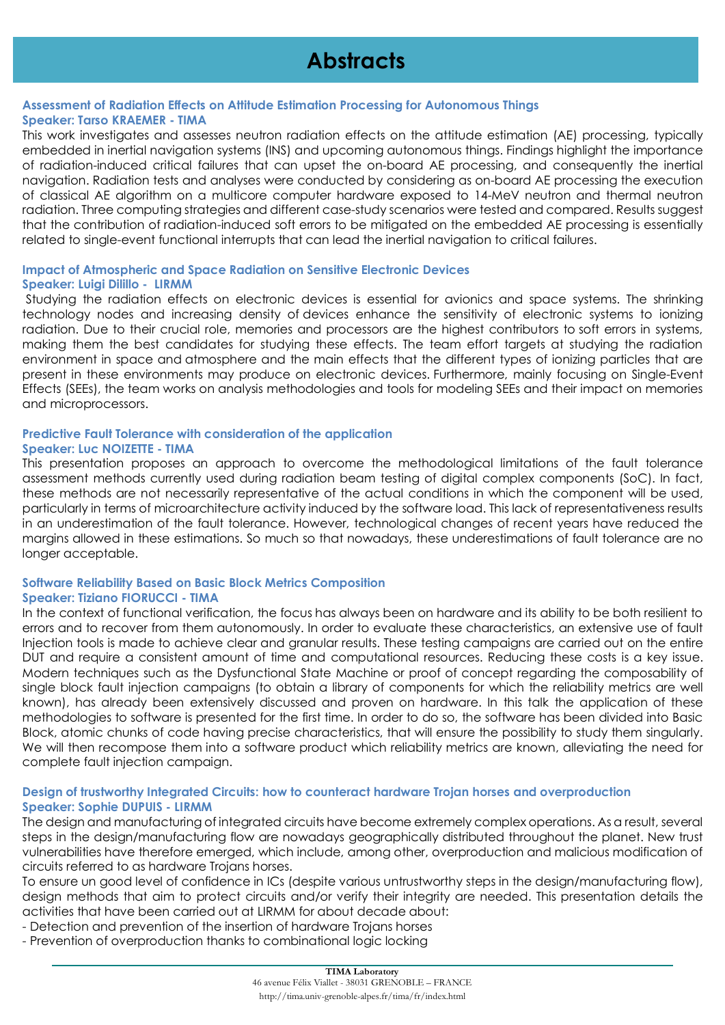## **Abstracts**

#### **Assessment of Radiation Effects on Attitude Estimation Processing for Autonomous Things Speaker: Tarso KRAEMER - TIMA**

This work investigates and assesses neutron radiation effects on the attitude estimation (AE) processing, typically embedded in inertial navigation systems (INS) and upcoming autonomous things. Findings highlight the importance of radiation-induced critical failures that can upset the on-board AE processing, and consequently the inertial navigation. Radiation tests and analyses were conducted by considering as on-board AE processing the execution of classical AE algorithm on a multicore computer hardware exposed to 14-MeV neutron and thermal neutron radiation. Three computing strategies and different case-study scenarios were tested and compared. Results suggest that the contribution of radiation-induced soft errors to be mitigated on the embedded AE processing is essentially related to single-event functional interrupts that can lead the inertial navigation to critical failures.

#### **Impact of Atmospheric and Space Radiation on Sensitive Electronic Devices Speaker: Luigi Dilillo - LIRMM**

Studying the radiation effects on electronic devices is essential for avionics and space systems. The shrinking technology nodes and increasing density of devices enhance the sensitivity of electronic systems to ionizing radiation. Due to their crucial role, memories and processors are the highest contributors to soft errors in systems, making them the best candidates for studying these effects. The team effort targets at studying the radiation environment in space and atmosphere and the main effects that the different types of ionizing particles that are present in these environments may produce on electronic devices. Furthermore, mainly focusing on Single-Event Effects (SEEs), the team works on analysis methodologies and tools for modeling SEEs and their impact on memories and microprocessors.

#### **Predictive Fault Tolerance with consideration of the application Speaker: Luc NOIZETTE - TIMA**

This presentation proposes an approach to overcome the methodological limitations of the fault tolerance assessment methods currently used during radiation beam testing of digital complex components (SoC). In fact, these methods are not necessarily representative of the actual conditions in which the component will be used, particularly in terms of microarchitecture activity induced by the software load. This lack of representativeness results in an underestimation of the fault tolerance. However, technological changes of recent years have reduced the margins allowed in these estimations. So much so that nowadays, these underestimations of fault tolerance are no longer acceptable.

#### **Software Reliability Based on Basic Block Metrics Composition Speaker: Tiziano FIORUCCI - TIMA**

In the context of functional verification, the focus has always been on hardware and its ability to be both resilient to errors and to recover from them autonomously. In order to evaluate these characteristics, an extensive use of fault Injection tools is made to achieve clear and granular results. These testing campaigns are carried out on the entire DUT and require a consistent amount of time and computational resources. Reducing these costs is a key issue. Modern techniques such as the Dysfunctional State Machine or proof of concept regarding the composability of single block fault injection campaigns (to obtain a library of components for which the reliability metrics are well known), has already been extensively discussed and proven on hardware. In this talk the application of these methodologies to software is presented for the first time. In order to do so, the software has been divided into Basic Block, atomic chunks of code having precise characteristics, that will ensure the possibility to study them singularly. We will then recompose them into a software product which reliability metrics are known, alleviating the need for complete fault injection campaign.

#### **Design of trustworthy Integrated Circuits: how to counteract hardware Trojan horses and overproduction Speaker: Sophie DUPUIS - LIRMM**

The design and manufacturing of integrated circuits have become extremely complex operations. As a result, several steps in the design/manufacturing flow are nowadays geographically distributed throughout the planet. New trust vulnerabilities have therefore emerged, which include, among other, overproduction and malicious modification of circuits referred to as hardware Trojans horses.

To ensure un good level of confidence in ICs (despite various untrustworthy steps in the design/manufacturing flow), design methods that aim to protect circuits and/or verify their integrity are needed. This presentation details the activities that have been carried out at LIRMM for about decade about:

- Detection and prevention of the insertion of hardware Trojans horses
- Prevention of overproduction thanks to combinational logic locking